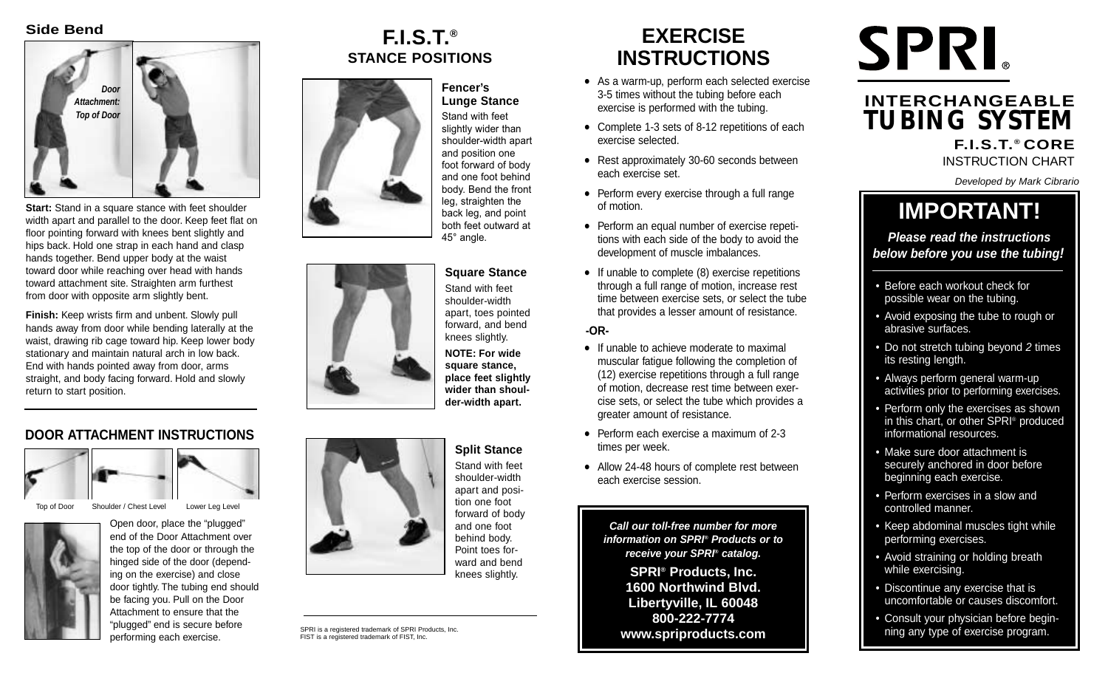#### **Side Bend**



**Start:** Stand in a square stance with feet shoulder width apart and parallel to the door. Keep feet flat on floor pointing forward with knees bent slightly and hips back. Hold one strap in each hand and clasp hands together. Bend upper body at the waist toward door while reaching over head with hands toward attachment site. Straighten arm furthest from door with opposite arm slightly bent.

**Finish:** Keep wrists firm and unbent. Slowly pull hands away from door while bending laterally at the waist, drawing rib cage toward hip. Keep lower body stationary and maintain natural arch in low back. End with hands pointed away from door, arms straight, and body facing forward. Hold and slowly return to start position.

#### **DOOR ATTACHMENT INSTRUCTIONS**



Top of Door Shoulder / Chest Level Lower Leg Level



Open door, place the "plugged" end of the Door Attachment over the top of the door or through the hinged side of the door (depending on the exercise) and close door tightly. The tubing end should be facing you. Pull on the Door Attachment to ensure that the "plugged" end is secure before performing each exercise.

## **F.I.S.T.® STANCE POSITIONS**

#### **Fencer's Lunge Stance**

Stand with feet slightly wider than shoulder-width apart and position one foot forward of body and one foot behind body. Bend the front leg, straighten the back leg, and point both feet outward at 45° angle.

### **Square Stance**

Stand with feet shoulder-width apart, toes pointed forward, and bend knees slightly.

**NOTE: For wide square stance, place feet slightly wider than shoulder-width apart.**



Stand with feet shoulder-width apart and posiforward of body Point toes forward and bend knees slightly.

SPRI is a registered trademark of SPRI Products, Inc. FIST is a registered trademark of FIST, Inc.

# **EXERCISE INSTRUCTIONS**

- As a warm-up, perform each selected exercise 3-5 times without the tubing before each exercise is performed with the tubing.
- Complete 1-3 sets of 8-12 repetitions of each exercise selected.
- Rest approximately 30-60 seconds between each exercise set.
- Perform every exercise through a full range of motion.
- Perform an equal number of exercise repetitions with each side of the body to avoid the development of muscle imbalances.
- If unable to complete (8) exercise repetitions through a full range of motion, increase rest time between exercise sets, or select the tube that provides a lesser amount of resistance.

**-OR-**

- If unable to achieve moderate to maximal muscular fatigue following the completion of (12) exercise repetitions through a full range of motion, decrease rest time between exercise sets, or select the tube which provides a greater amount of resistance.
- Perform each exercise a maximum of 2-3 times per week.
- Allow 24-48 hours of complete rest between each exercise session.

**Call our toll-free number for more information on SPRI® Products or to receive your SPRI® catalog.**

**SPRI® Products, Inc. 1600 Northwind Blvd. Libertyville, IL 60048 800-222-7774 www.spriproducts.com**

# **SPRI**

## **INTERCHANGEABLE TUBING SYSTEM F.I.S.T.® CORE**

INSTRUCTION CHART

Developed by Mark Cibrario

# **IMPORTANT!**

**Please read the instructions below before you use the tubing!**

- Before each workout check for possible wear on the tubing.
- Avoid exposing the tube to rough or abrasive surfaces.
- Do not stretch tubing beyond 2 times its resting length.
- Always perform general warm-up activities prior to performing exercises.
- Perform only the exercises as shown in this chart, or other SPRI® produced informational resources.
- Make sure door attachment is securely anchored in door before beginning each exercise.
- Perform exercises in a slow and controlled manner.
- Keep abdominal muscles tight while performing exercises.
- Avoid straining or holding breath while exercising.
- Discontinue any exercise that is uncomfortable or causes discomfort.
- Consult your physician before beginning any type of exercise program.



**Split Stance**  tion one foot and one foot behind body.